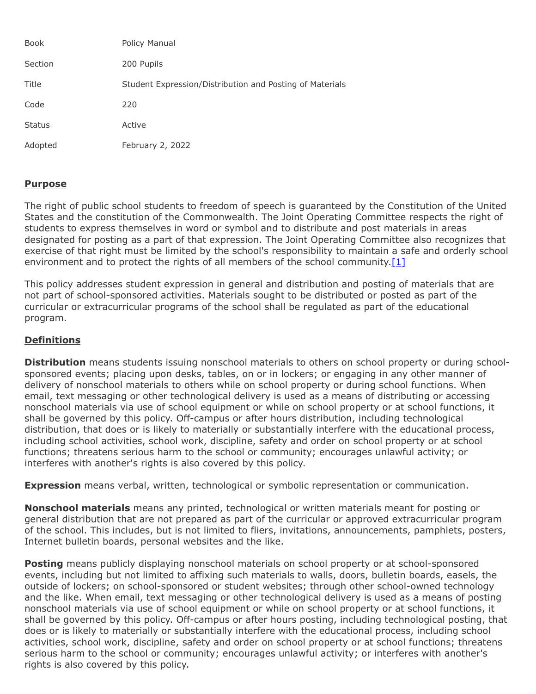| <b>Book</b>   | Policy Manual                                            |
|---------------|----------------------------------------------------------|
| Section       | 200 Pupils                                               |
| Title         | Student Expression/Distribution and Posting of Materials |
| Code          | 220                                                      |
| <b>Status</b> | Active                                                   |
| Adopted       | February 2, 2022                                         |

# **Purpose**

The right of public school students to freedom of speech is guaranteed by the Constitution of the United States and the constitution of the Commonwealth. The Joint Operating Committee respects the right of students to express themselves in word or symbol and to distribute and post materials in areas designated for posting as a part of that expression. The Joint Operating Committee also recognizes that exercise of that right must be limited by the school's responsibility to maintain a safe and orderly school environment and to protect the rights of all members of the school community. $[1]$ 

This policy addresses student expression in general and distribution and posting of materials that are not part of school-sponsored activities. Materials sought to be distributed or posted as part of the curricular or extracurricular programs of the school shall be regulated as part of the educational program.

# **Definitions**

**Distribution** means students issuing nonschool materials to others on school property or during schoolsponsored events; placing upon desks, tables, on or in lockers; or engaging in any other manner of delivery of nonschool materials to others while on school property or during school functions. When email, text messaging or other technological delivery is used as a means of distributing or accessing nonschool materials via use of school equipment or while on school property or at school functions, it shall be governed by this policy. Off-campus or after hours distribution, including technological distribution, that does or is likely to materially or substantially interfere with the educational process, including school activities, school work, discipline, safety and order on school property or at school functions; threatens serious harm to the school or community; encourages unlawful activity; or interferes with another's rights is also covered by this policy.

**Expression** means verbal, written, technological or symbolic representation or communication.

**Nonschool materials** means any printed, technological or written materials meant for posting or general distribution that are not prepared as part of the curricular or approved extracurricular program of the school. This includes, but is not limited to fliers, invitations, announcements, pamphlets, posters, Internet bulletin boards, personal websites and the like.

**Posting** means publicly displaying nonschool materials on school property or at school-sponsored events, including but not limited to affixing such materials to walls, doors, bulletin boards, easels, the outside of lockers; on school-sponsored or student websites; through other school-owned technology and the like. When email, text messaging or other technological delivery is used as a means of posting nonschool materials via use of school equipment or while on school property or at school functions, it shall be governed by this policy. Off-campus or after hours posting, including technological posting, that does or is likely to materially or substantially interfere with the educational process, including school activities, school work, discipline, safety and order on school property or at school functions; threatens serious harm to the school or community; encourages unlawful activity; or interferes with another's rights is also covered by this policy.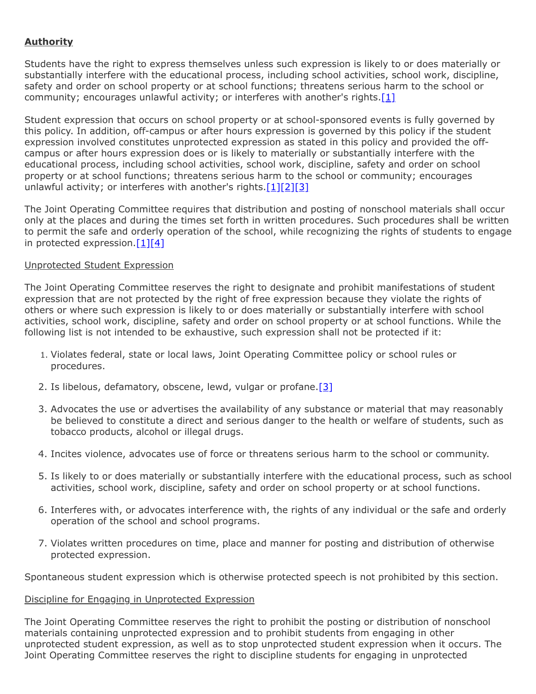# **Authority**

Students have the right to express themselves unless such expression is likely to or does materially or substantially interfere with the educational process, including school activities, school work, discipline, safety and order on school property or at school functions; threatens serious harm to the school or community; encourages unlawful activity; or interferes with another's rights.<sup>[\[1\]](http://pacodeandbulletin.gov/Display/pacode?file=/secure/pacode/data/022/chapter12/s12.9.html&d=reduce)</sup>

Student expression that occurs on school property or at school-sponsored events is fully governed by this policy. In addition, off-campus or after hours expression is governed by this policy if the student expression involved constitutes unprotected expression as stated in this policy and provided the offcampus or after hours expression does or is likely to materially or substantially interfere with the educational process, including school activities, school work, discipline, safety and order on school property or at school functions; threatens serious harm to the school or community; encourages unlawful activity; or interferes with another's rights. $[1][2][3]$  $[1][2][3]$  $[1][2][3]$ 

The Joint Operating Committee requires that distribution and posting of nonschool materials shall occur only at the places and during the times set forth in written procedures. Such procedures shall be written to permit the safe and orderly operation of the school, while recognizing the rights of students to engage in protected expression. $[1][4]$  $[1][4]$ 

# Unprotected Student Expression

The Joint Operating Committee reserves the right to designate and prohibit manifestations of student expression that are not protected by the right of free expression because they violate the rights of others or where such expression is likely to or does materially or substantially interfere with school activities, school work, discipline, safety and order on school property or at school functions. While the following list is not intended to be exhaustive, such expression shall not be protected if it:

- 1. Violates federal, state or local laws, Joint Operating Committee policy or school rules or procedures.
- 2. Is libelous, defamatory, obscene, lewd, vulgar or profane.  $[3]$
- 3. Advocates the use or advertises the availability of any substance or material that may reasonably be believed to constitute a direct and serious danger to the health or welfare of students, such as tobacco products, alcohol or illegal drugs.
- 4. Incites violence, advocates use of force or threatens serious harm to the school or community.
- 5. Is likely to or does materially or substantially interfere with the educational process, such as school activities, school work, discipline, safety and order on school property or at school functions.
- 6. Interferes with, or advocates interference with, the rights of any individual or the safe and orderly operation of the school and school programs.
- 7. Violates written procedures on time, place and manner for posting and distribution of otherwise protected expression.

Spontaneous student expression which is otherwise protected speech is not prohibited by this section.

## Discipline for Engaging in Unprotected Expression

The Joint Operating Committee reserves the right to prohibit the posting or distribution of nonschool materials containing unprotected expression and to prohibit students from engaging in other unprotected student expression, as well as to stop unprotected student expression when it occurs. The Joint Operating Committee reserves the right to discipline students for engaging in unprotected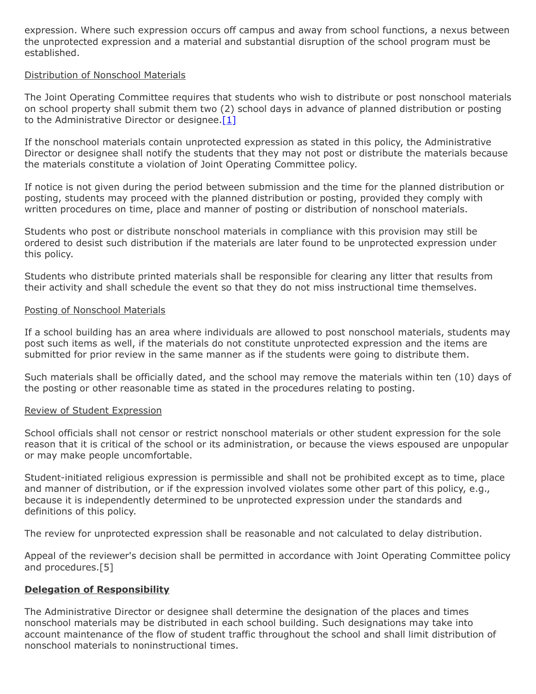expression. Where such expression occurs off campus and away from school functions, a nexus between the unprotected expression and a material and substantial disruption of the school program must be established.

### Distribution of Nonschool Materials

The Joint Operating Committee requires that students who wish to distribute or post nonschool materials on school property shall submit them two (2) school days in advance of planned distribution or posting to the Administrative Director or designee.<sup>[\[1\]](http://pacodeandbulletin.gov/Display/pacode?file=/secure/pacode/data/022/chapter12/s12.9.html&d=reduce)</sup>

If the nonschool materials contain unprotected expression as stated in this policy, the Administrative Director or designee shall notify the students that they may not post or distribute the materials because the materials constitute a violation of Joint Operating Committee policy.

If notice is not given during the period between submission and the time for the planned distribution or posting, students may proceed with the planned distribution or posting, provided they comply with written procedures on time, place and manner of posting or distribution of nonschool materials.

Students who post or distribute nonschool materials in compliance with this provision may still be ordered to desist such distribution if the materials are later found to be unprotected expression under this policy.

Students who distribute printed materials shall be responsible for clearing any litter that results from their activity and shall schedule the event so that they do not miss instructional time themselves.

#### Posting of Nonschool Materials

If a school building has an area where individuals are allowed to post nonschool materials, students may post such items as well, if the materials do not constitute unprotected expression and the items are submitted for prior review in the same manner as if the students were going to distribute them.

Such materials shall be officially dated, and the school may remove the materials within ten (10) days of the posting or other reasonable time as stated in the procedures relating to posting.

#### Review of Student Expression

School officials shall not censor or restrict nonschool materials or other student expression for the sole reason that it is critical of the school or its administration, or because the views espoused are unpopular or may make people uncomfortable.

Student-initiated religious expression is permissible and shall not be prohibited except as to time, place and manner of distribution, or if the expression involved violates some other part of this policy, e.g., because it is independently determined to be unprotected expression under the standards and definitions of this policy.

The review for unprotected expression shall be reasonable and not calculated to delay distribution.

Appeal of the reviewer's decision shall be permitted in accordance with Joint Operating Committee policy and procedures.[5]

## **Delegation of Responsibility**

The Administrative Director or designee shall determine the designation of the places and times nonschool materials may be distributed in each school building. Such designations may take into account maintenance of the flow of student traffic throughout the school and shall limit distribution of nonschool materials to noninstructional times.